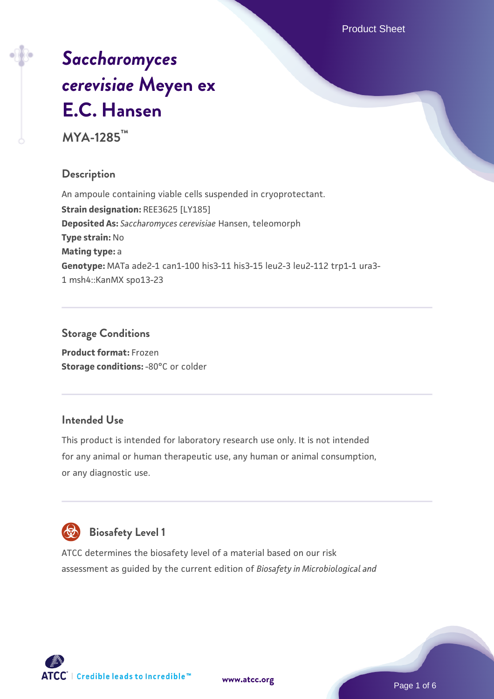# *[Saccharomyces](https://www.atcc.org/products/mya-1285) [cerevisiae](https://www.atcc.org/products/mya-1285)* **[Meyen ex](https://www.atcc.org/products/mya-1285) [E.C. Hansen](https://www.atcc.org/products/mya-1285)**

**MYA-1285™**

# **Description**

An ampoule containing viable cells suspended in cryoprotectant. **Strain designation:** REE3625 [LY185] **Deposited As:** *Saccharomyces cerevisiae* Hansen, teleomorph **Type strain:** No **Mating type:** a **Genotype:** MATa ade2-1 can1-100 his3-11 his3-15 leu2-3 leu2-112 trp1-1 ura3- 1 msh4::KanMX spo13-23

# **Storage Conditions**

**Product format:** Frozen **Storage conditions: -80°C or colder** 

# **Intended Use**

This product is intended for laboratory research use only. It is not intended for any animal or human therapeutic use, any human or animal consumption, or any diagnostic use.



# **Biosafety Level 1**

ATCC determines the biosafety level of a material based on our risk assessment as guided by the current edition of *Biosafety in Microbiological and*

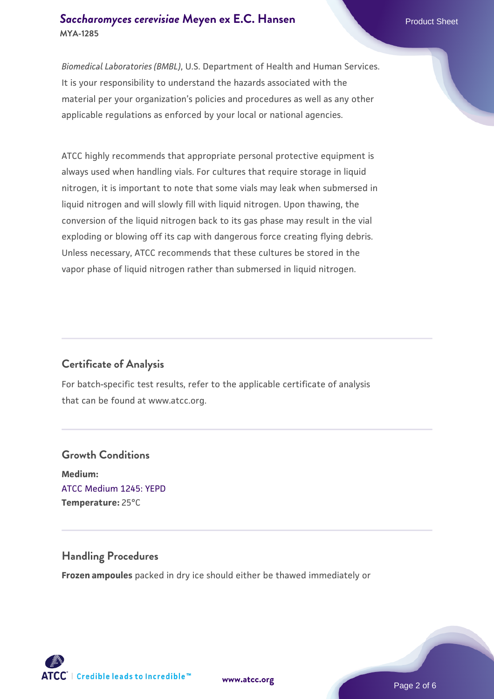# **[Saccharomyces cerevisiae](https://www.atcc.org/products/mya-1285)** [Meyen ex E.C. Hansen](https://www.atcc.org/products/mya-1285) **MYA-1285**

*Biomedical Laboratories (BMBL)*, U.S. Department of Health and Human Services. It is your responsibility to understand the hazards associated with the material per your organization's policies and procedures as well as any other applicable regulations as enforced by your local or national agencies.

ATCC highly recommends that appropriate personal protective equipment is always used when handling vials. For cultures that require storage in liquid nitrogen, it is important to note that some vials may leak when submersed in liquid nitrogen and will slowly fill with liquid nitrogen. Upon thawing, the conversion of the liquid nitrogen back to its gas phase may result in the vial exploding or blowing off its cap with dangerous force creating flying debris. Unless necessary, ATCC recommends that these cultures be stored in the vapor phase of liquid nitrogen rather than submersed in liquid nitrogen.

# **Certificate of Analysis**

For batch-specific test results, refer to the applicable certificate of analysis that can be found at www.atcc.org.

# **Growth Conditions Medium:**  [ATCC Medium 1245: YEPD](https://www.atcc.org/-/media/product-assets/documents/microbial-media-formulations/1/2/4/5/atcc-medium-1245.pdf?rev=705ca55d1b6f490a808a965d5c072196) **Temperature:** 25°C

## **Handling Procedures**

**Frozen ampoules** packed in dry ice should either be thawed immediately or

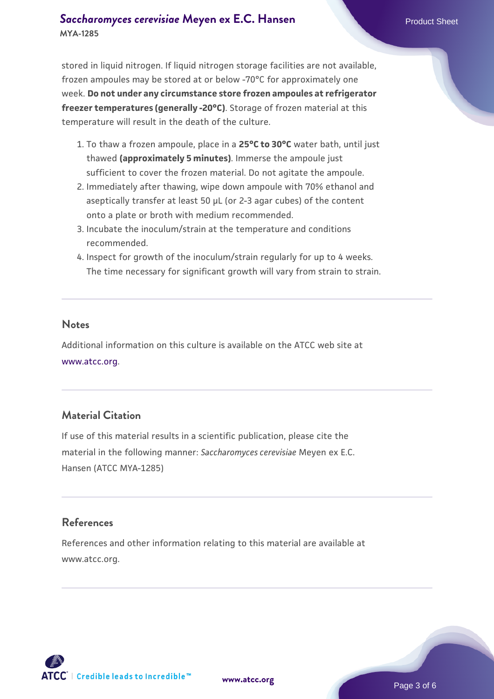# **[Saccharomyces cerevisiae](https://www.atcc.org/products/mya-1285)** [Meyen ex E.C. Hansen](https://www.atcc.org/products/mya-1285) **MYA-1285**

stored in liquid nitrogen. If liquid nitrogen storage facilities are not available, frozen ampoules may be stored at or below -70°C for approximately one week. **Do not under any circumstance store frozen ampoules at refrigerator freezer temperatures (generally -20°C)**. Storage of frozen material at this temperature will result in the death of the culture.

- 1. To thaw a frozen ampoule, place in a **25°C to 30°C** water bath, until just thawed **(approximately 5 minutes)**. Immerse the ampoule just sufficient to cover the frozen material. Do not agitate the ampoule.
- 2. Immediately after thawing, wipe down ampoule with 70% ethanol and aseptically transfer at least 50 µL (or 2-3 agar cubes) of the content onto a plate or broth with medium recommended.
- 3. Incubate the inoculum/strain at the temperature and conditions recommended.
- 4. Inspect for growth of the inoculum/strain regularly for up to 4 weeks. The time necessary for significant growth will vary from strain to strain.

#### **Notes**

Additional information on this culture is available on the ATCC web site at [www.atcc.org.](http://www.atcc.org/)

# **Material Citation**

If use of this material results in a scientific publication, please cite the material in the following manner: *Saccharomyces cerevisiae* Meyen ex E.C. Hansen (ATCC MYA-1285)

# **References**

References and other information relating to this material are available at www.atcc.org.

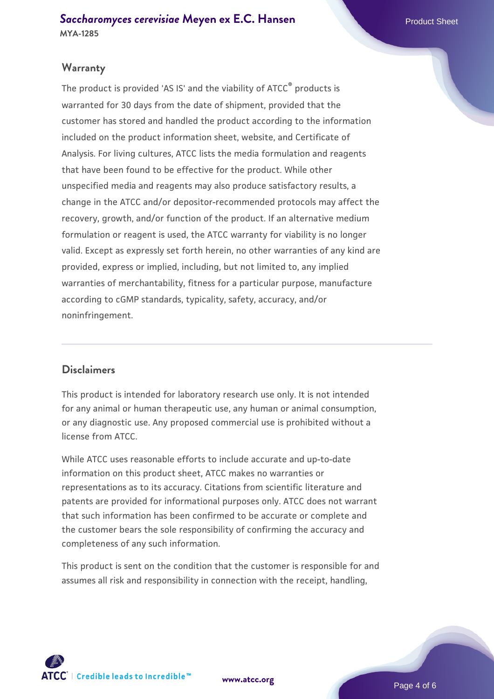# **Warranty**

The product is provided 'AS IS' and the viability of ATCC® products is warranted for 30 days from the date of shipment, provided that the customer has stored and handled the product according to the information included on the product information sheet, website, and Certificate of Analysis. For living cultures, ATCC lists the media formulation and reagents that have been found to be effective for the product. While other unspecified media and reagents may also produce satisfactory results, a change in the ATCC and/or depositor-recommended protocols may affect the recovery, growth, and/or function of the product. If an alternative medium formulation or reagent is used, the ATCC warranty for viability is no longer valid. Except as expressly set forth herein, no other warranties of any kind are provided, express or implied, including, but not limited to, any implied warranties of merchantability, fitness for a particular purpose, manufacture according to cGMP standards, typicality, safety, accuracy, and/or noninfringement.

## **Disclaimers**

This product is intended for laboratory research use only. It is not intended for any animal or human therapeutic use, any human or animal consumption, or any diagnostic use. Any proposed commercial use is prohibited without a license from ATCC.

While ATCC uses reasonable efforts to include accurate and up-to-date information on this product sheet, ATCC makes no warranties or representations as to its accuracy. Citations from scientific literature and patents are provided for informational purposes only. ATCC does not warrant that such information has been confirmed to be accurate or complete and the customer bears the sole responsibility of confirming the accuracy and completeness of any such information.

This product is sent on the condition that the customer is responsible for and assumes all risk and responsibility in connection with the receipt, handling,



**[www.atcc.org](http://www.atcc.org)**

Page 4 of 6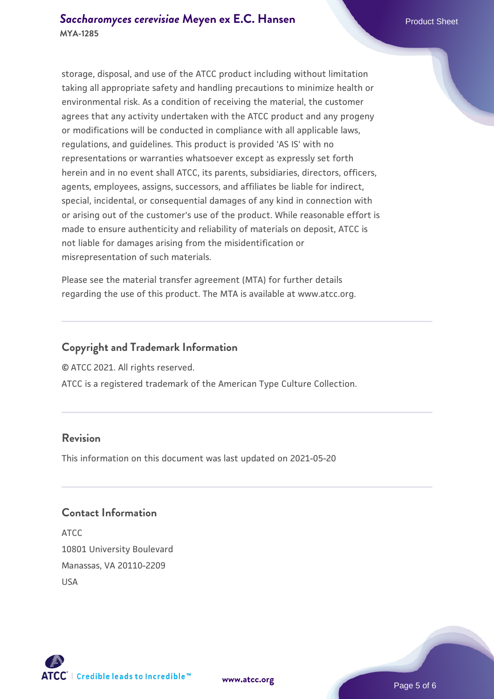storage, disposal, and use of the ATCC product including without limitation taking all appropriate safety and handling precautions to minimize health or environmental risk. As a condition of receiving the material, the customer agrees that any activity undertaken with the ATCC product and any progeny or modifications will be conducted in compliance with all applicable laws, regulations, and guidelines. This product is provided 'AS IS' with no representations or warranties whatsoever except as expressly set forth herein and in no event shall ATCC, its parents, subsidiaries, directors, officers, agents, employees, assigns, successors, and affiliates be liable for indirect, special, incidental, or consequential damages of any kind in connection with or arising out of the customer's use of the product. While reasonable effort is made to ensure authenticity and reliability of materials on deposit, ATCC is not liable for damages arising from the misidentification or misrepresentation of such materials.

Please see the material transfer agreement (MTA) for further details regarding the use of this product. The MTA is available at www.atcc.org.

# **Copyright and Trademark Information**

© ATCC 2021. All rights reserved.

ATCC is a registered trademark of the American Type Culture Collection.

# **Revision**

This information on this document was last updated on 2021-05-20

# **Contact Information**

ATCC 10801 University Boulevard Manassas, VA 20110-2209 USA